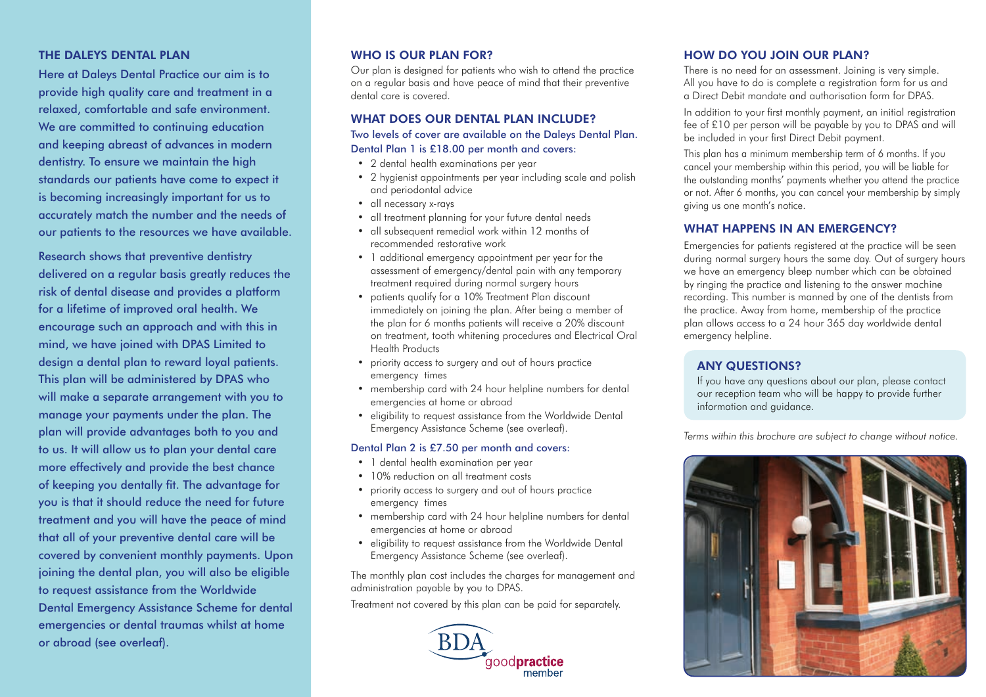# THE DALEYS DENTAL PLAN

Here at Daleys Dental Practice our aim is to provide high quality care and treatment in a relaxed, comfortable and safe environment. We are committed to continuing education and keeping abreast of advances in modern dentistry. To ensure we maintain the high standards our patients have come to expect it is becoming increasingly important for us to accurately match the number and the needs of our patients to the resources we have available.

Research shows that preventive dentistry delivered on a regular basis greatly reduces the risk of dental disease and provides a platform for a lifetime of improved oral health. We encourage such an approach and with this in mind, we have joined with DPAS Limited to design a dental plan to reward loyal patients. This plan will be administered by DPAS who will make a separate arrangement with you to manage your payments under the plan. The plan will provide advantages both to you and to us. It will allow us to plan your dental care more effectively and provide the best chance of keeping you dentally fit. The advantage for you is that it should reduce the need for future treatment and you will have the peace of mind that all of your preventive dental care will be covered by convenient monthly payments. Upon joining the dental plan, you will also be eligible to request assistance from the Worldwide Dental Emergency Assistance Scheme for dental emergencies or dental traumas whilst at home or abroad (see overleaf).

## WHO IS OUR PLAN FOR?

Our plan is designed for patients who wish to attend the practice on a regular basis and have peace of mind that their preventive dental care is covered.

# WHAT DOES OUR DENTAL PLAN INCLUDE?

#### Two levels of cover are available on the Daleys Dental Plan. Dental Plan 1 is £18.00 per month and covers:

- 2 dental health examinations per year
- 2 hygienist appointments per year including scale and polish and periodontal advice
- all necessary x-rays
- all treatment planning for your future dental needs
- all subsequent remedial work within 12 months of recommended restorative work
- 1 additional emergency appointment per year for the assessment of emergency/dental pain with any temporary treatment required during normal surgery hours
- patients qualify for a 10% Treatment Plan discount immediately on joining the plan. After being a member of the plan for 6 months patients will receive a 20% discount on treatment, tooth whitening procedures and Electrical Oral Health Products
- priority access to surgery and out of hours practice emergency times
- membership card with 24 hour helpline numbers for dental emergencies at home or abroad
- eligibility to request assistance from the Worldwide Dental Emergency Assistance Scheme (see overleaf).

#### Dental Plan 2 is £7.50 per month and covers:

- 1 dental health examination per year
- 10% reduction on all treatment costs
- priority access to surgery and out of hours practice emergency times
- membership card with 24 hour helpline numbers for dental emergencies at home or abroad
- eligibility to request assistance from the Worldwide Dental Emergency Assistance Scheme (see overleaf).

The monthly plan cost includes the charges for management and administration payable by you to DPAS.

Treatment not covered by this plan can be paid for separately.



# HOW DO YOU JOIN OUR PLAN?

There is no need for an assessment. Joining is very simple. All you have to do is complete a registration form for us and a Direct Debit mandate and authorisation form for DPAS.

In addition to your first monthly payment, an initial registration fee of £10 per person will be payable by you to DPAS and will be included in your first Direct Debit payment.

This plan has a minimum membership term of 6 months. If you cancel your membership within this period, you will be liable for the outstanding months' payments whether you attend the practice or not. After 6 months, you can cancel your membership by simply giving us one month's notice.

# WHAT HAPPENS IN AN EMERGENCY?

Emergencies for patients registered at the practice will be seen during normal surgery hours the same day. Out of surgery hours we have an emergency bleep number which can be obtained by ringing the practice and listening to the answer machine recording. This number is manned by one of the dentists from the practice. Away from home, membership of the practice plan allows access to a 24 hour 365 day worldwide dental emergency helpline.

# ANY QUESTIONS?

If you have any questions about our plan, please contact our reception team who will be happy to provide further information and guidance.

*Terms within this brochure are subject to change without notice.*